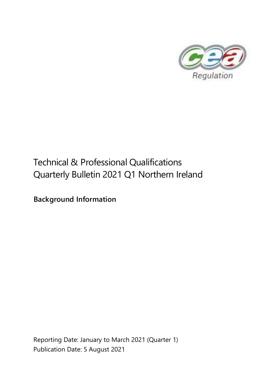

# Technical & Professional Qualifications Quarterly Bulletin 2021 Q1 Northern Ireland

**Background Information**

Reporting Date: January to March 2021 (Quarter 1) Publication Date: 5 August 2021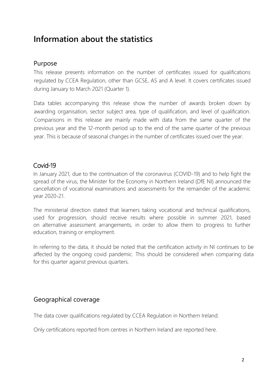# **Information about the statistics**

#### Purpose

This release presents information on the number of certificates issued for qualifications regulated by CCEA Regulation, other than GCSE, AS and A level. It covers certificates issued during January to March 2021 (Quarter 1).

Data tables accompanying this release show the number of awards broken down by awarding organisation, sector subject area, type of qualification, and level of qualification. Comparisons in this release are mainly made with data from the same quarter of the previous year and the 12-month period up to the end of the same quarter of the previous year. This is because of seasonal changes in the number of certificates issued over the year.

## Covid-19

In January 2021, due to the continuation of the coronavirus (COVID-19) and to help fight the spread of the virus, the Minister for the Economy in Northern Ireland (DfE NI) announced the cancellation of vocational examinations and assessments for the remainder of the academic year 2020-21.

The ministerial direction stated that learners taking vocational and technical qualifications, used for progression, should receive results where possible in summer 2021, based on alternative assessment arrangements, in order to allow them to progress to further education, training or employment.

In referring to the data, it should be noted that the certification activity in NI continues to be affected by the ongoing covid pandemic. This should be considered when comparing data for this quarter against previous quarters.

# Geographical coverage

The data cover qualifications regulated by CCEA Regulation in Northern Ireland.

Only certifications reported from centres in Northern Ireland are reported here.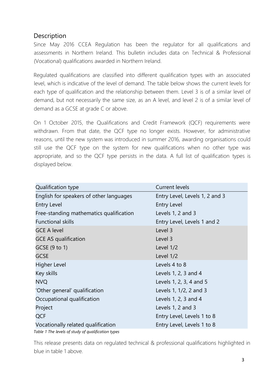# Description

Since May 2016 CCEA Regulation has been the regulator for all qualifications and assessments in Northern Ireland. This bulletin includes data on Technical & Professional (Vocational) qualifications awarded in Northern Ireland.

Regulated qualifications are classified into different qualification types with an associated level, which is indicative of the level of demand. The table below shows the current levels for each type of qualification and the relationship between them. Level 3 is of a similar level of demand, but not necessarily the same size, as an A level, and level 2 is of a similar level of demand as a GCSE at grade C or above.

On 1 October 2015, the Qualifications and Credit Framework (QCF) requirements were withdrawn. From that date, the QCF type no longer exists. However, for administrative reasons, until the new system was introduced in summer 2016, awarding organisations could still use the QCF type on the system for new qualifications when no other type was appropriate, and so the QCF type persists in the data. A full list of qualification types is displayed below.

| Qualification type                                                          | <b>Current levels</b>          |
|-----------------------------------------------------------------------------|--------------------------------|
| English for speakers of other languages                                     | Entry Level, Levels 1, 2 and 3 |
| <b>Entry Level</b>                                                          | <b>Entry Level</b>             |
| Free-standing mathematics qualification                                     | Levels 1, 2 and 3              |
| <b>Functional skills</b>                                                    | Entry Level, Levels 1 and 2    |
| <b>GCE A level</b>                                                          | Level 3                        |
| <b>GCE AS qualification</b>                                                 | Level 3                        |
| GCSE (9 to 1)                                                               | Level 1/2                      |
| <b>GCSE</b>                                                                 | Level 1/2                      |
| <b>Higher Level</b>                                                         | Levels 4 to 8                  |
| Key skills                                                                  | Levels 1, 2, 3 and 4           |
| <b>NVQ</b>                                                                  | Levels 1, 2, 3, 4 and 5        |
| 'Other general' qualification                                               | Levels 1, 1/2, 2 and 3         |
| Occupational qualification                                                  | Levels 1, 2, 3 and 4           |
| Project                                                                     | Levels 1, 2 and 3              |
| <b>QCF</b>                                                                  | Entry Level, Levels 1 to 8     |
| Vocationally related qualification<br>エーレレー オーエレー・リー・フール にっぽんしょうしん こうどくじょうし | Entry Level, Levels 1 to 8     |

*Table 1 The levels of study of qualification types*

This release presents data on regulated technical & professional qualifications highlighted in blue in table 1 above.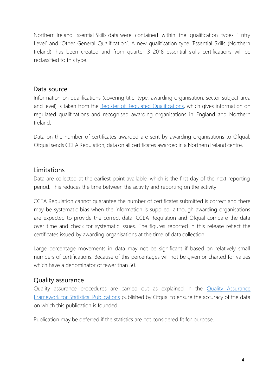Northern Ireland Essential Skills data were contained within the qualification types 'Entry Level' and 'Other General Qualification'. A new qualification type 'Essential Skills (Northern Ireland)' has been created and from quarter 3 2018 essential skills certifications will be reclassified to this type.

#### Data source

Information on qualifications (covering title, type, awarding organisation, sector subject area and level) is taken from the Register of Regulated [Qualifications,](http://register.ofqual.gov.uk/) which gives information on regulated qualifications and recognised awarding organisations in England and Northern Irelan[d.](https://www.qiw.wales/)

Data on the number of certificates awarded are sent by awarding organisations to Ofqual. Ofqual sends CCEA Regulation, data on all certificates awarded in a Northern Ireland centre.

#### Limitations

Data are collected at the earliest point available, which is the first day of the next reporting period. This reduces the time between the activity and reporting on the activity.

CCEA Regulation cannot guarantee the number of certificates submitted is correct and there may be systematic bias when the information is supplied, although awarding organisations are expected to provide the correct data. CCEA Regulation and Ofqual compare the data over time and check for systematic issues. The figures reported in this release reflect the certificates issued by awarding organisations at the time of data collection.

Large percentage movements in data may not be significant if based on relatively small numbers of certifications. Because of this percentages will not be given or charted for values which have a denominator of fewer than 50.

#### Quality assurance

Quality assurance procedures are carried out as explained in the [Quality Assurance](https://www.gov.uk/government/publications/ofquals-statistics-policies-and-procedures) [Framework for Statistical Publications](https://www.gov.uk/government/publications/ofquals-statistics-policies-and-procedures) published by Ofqual to ensure the accuracy of the data on which this publication is founded.

Publication may be deferred if the statistics are not considered fit for purpose.